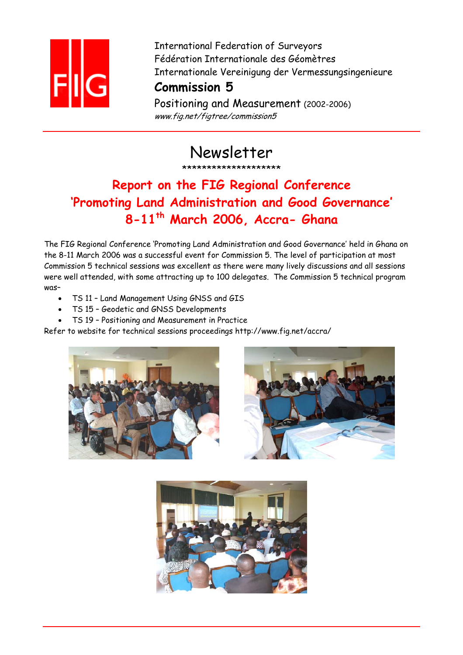

International Federation of Surveyors Fédération Internationale des Géomètres Internationale Vereinigung der Vermessungsingenieure

### **Commission 5**

Positioning and Measurement (2002-2006) www.fig.net/figtree/commission5

Newsletter

\*\*\*\*\*\*\*\*\*\*\*\*\*\*\*\*\*\*\*\*

# **Report on the FIG Regional Conference 'Promoting Land Administration and Good Governance' 8-11th March 2006, Accra- Ghana**

The FIG Regional Conference 'Promoting Land Administration and Good Governance' held in Ghana on the 8-11 March 2006 was a successful event for Commission 5. The level of participation at most Commission 5 technical sessions was excellent as there were many lively discussions and all sessions were well attended, with some attracting up to 100 delegates. The Commission 5 technical program was–

- TS 11 Land Management Using GNSS and GIS
- TS 15 Geodetic and GNSS Developments
- TS 19 Positioning and Measurement in Practice

Refer to website for technical sessions proceedings http://www.fig.net/accra/



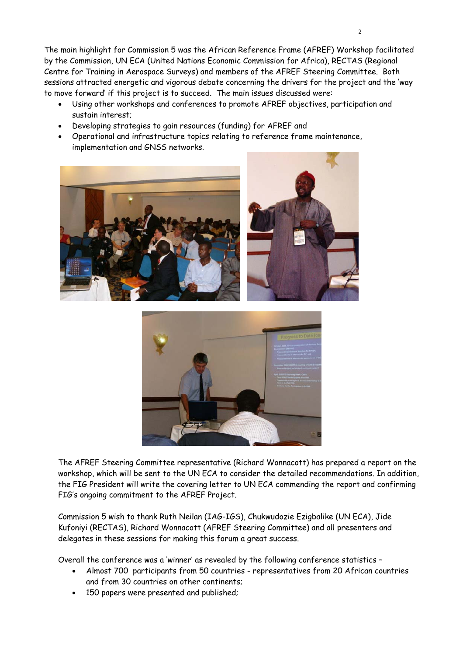The main highlight for Commission 5 was the African Reference Frame (AFREF) Workshop facilitated by the Commission, UN ECA (United Nations Economic Commission for Africa), RECTAS (Regional Centre for Training in Aerospace Surveys) and members of the AFREF Steering Committee. Both sessions attracted energetic and vigorous debate concerning the drivers for the project and the 'way to move forward' if this project is to succeed. The main issues discussed were:

- Using other workshops and conferences to promote AFREF objectives, participation and sustain interest;
- Developing strategies to gain resources (funding) for AFREF and
- Operational and infrastructure topics relating to reference frame maintenance, implementation and GNSS networks.





The AFREF Steering Committee representative (Richard Wonnacott) has prepared a report on the workshop, which will be sent to the UN ECA to consider the detailed recommendations. In addition, the FIG President will write the covering letter to UN ECA commending the report and confirming FIG's ongoing commitment to the AFREF Project.

Commission 5 wish to thank Ruth Neilan (IAG-IGS), Chukwudozie Ezigbalike (UN ECA), Jide Kufoniyi (RECTAS), Richard Wonnacott (AFREF Steering Committee) and all presenters and delegates in these sessions for making this forum a great success.

Overall the conference was a 'winner' as revealed by the following conference statistics –

- Almost 700 participants from 50 countries representatives from 20 African countries and from 30 countries on other continents;
- 150 papers were presented and published;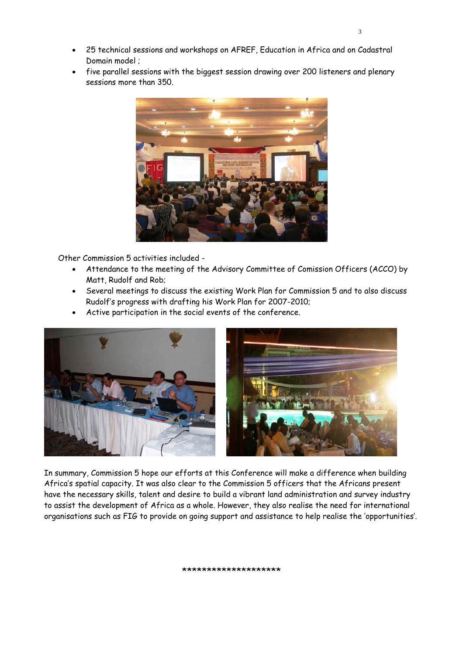- 25 technical sessions and workshops on AFREF, Education in Africa and on Cadastral Domain model ;
- five parallel sessions with the biggest session drawing over 200 listeners and plenary sessions more than 350.



Other Commission 5 activities included -

- Attendance to the meeting of the Advisory Committee of Comission Officers (ACCO) by Matt, Rudolf and Rob;
- Several meetings to discuss the existing Work Plan for Commission 5 and to also discuss Rudolf's progress with drafting his Work Plan for 2007-2010;
- Active participation in the social events of the conference.



In summary, Commission 5 hope our efforts at this Conference will make a difference when building Africa's spatial capacity. It was also clear to the Commission 5 officers that the Africans present have the necessary skills, talent and desire to build a vibrant land administration and survey industry to assist the development of Africa as a whole. However, they also realise the need for international organisations such as FIG to provide on going support and assistance to help realise the 'opportunities'.

#### \*\*\*\*\*\*\*\*\*\*\*\*\*\*\*\*\*\*\*\*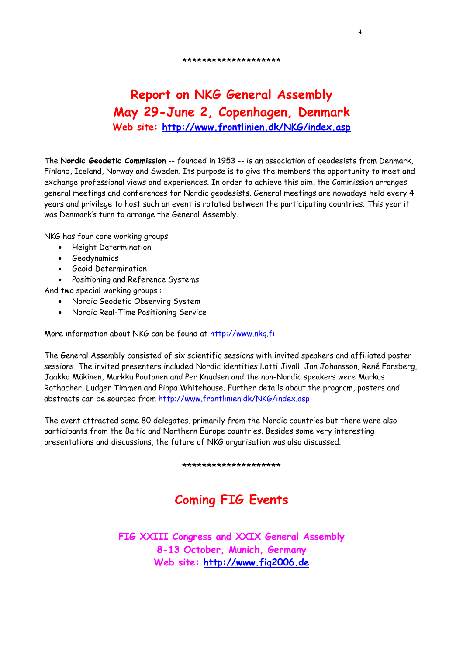#### \*\*\*\*\*\*\*\*\*\*\*\*\*\*\*\*\*\*\*\*

4

### **Report on NKG General Assembly May 29-June 2, Copenhagen, Denmark Web site: http://www.frontlinien.dk/NKG/index.asp**

The **Nordic Geodetic Commission** -- founded in 1953 -- is an association of geodesists from Denmark, Finland, Iceland, Norway and Sweden. Its purpose is to give the members the opportunity to meet and exchange professional views and experiences. In order to achieve this aim, the Commission arranges general meetings and conferences for Nordic geodesists. General meetings are nowadays held every 4 years and privilege to host such an event is rotated between the participating countries. This year it was Denmark's turn to arrange the General Assembly.

NKG has four core working groups:

- Height Determination
- Geodynamics
- Geoid Determination
- Positioning and Reference Systems

And two special working groups :

- Nordic Geodetic Observing System
- Nordic Real-Time Positioning Service

More information about NKG can be found at http://www.nkg.fi

The General Assembly consisted of six scientific sessions with invited speakers and affiliated poster sessions. The invited presenters included Nordic identities Lotti Jivall, Jan Johansson, René Forsberg, Jaakko Mäkinen, Markku Poutanen and Per Knudsen and the non-Nordic speakers were Markus Rothacher, Ludger Timmen and Pippa Whitehouse. Further details about the program, posters and abstracts can be sourced from http://www.frontlinien.dk/NKG/index.asp

The event attracted some 80 delegates, primarily from the Nordic countries but there were also participants from the Baltic and Northern Europe countries. Besides some very interesting presentations and discussions, the future of NKG organisation was also discussed.

\*\*\*\*\*\*\*\*\*\*\*\*\*\*\*\*\*\*\*\*

## **Coming FIG Events**

**FIG XXIII Congress and XXIX General Assembly 8-13 October, Munich, Germany Web site: http://www.fig2006.de**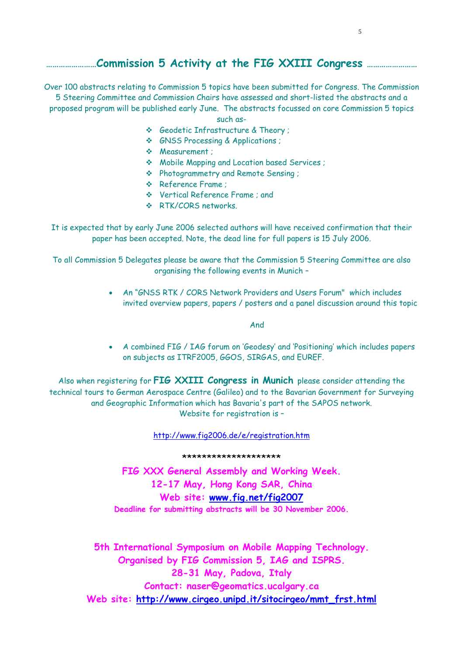### **……………………Commission 5 Activity at the FIG XXIII Congress ……………………**

Over 100 abstracts relating to Commission 5 topics have been submitted for Congress. The Commission 5 Steering Committee and Commission Chairs have assessed and short-listed the abstracts and a proposed program will be published early June. The abstracts focussed on core Commission 5 topics such as-

- Geodetic Infrastructure & Theory ;
- GNSS Processing & Applications ;
- Measurement ;
- Mobile Mapping and Location based Services ;
- Photogrammetry and Remote Sensing ;
- ◆ Reference Frame :
- Vertical Reference Frame ; and
- ❖ RTK/CORS networks

It is expected that by early June 2006 selected authors will have received confirmation that their paper has been accepted. Note, the dead line for full papers is 15 July 2006.

To all Commission 5 Delegates please be aware that the Commission 5 Steering Committee are also organising the following events in Munich –

> • An "GNSS RTK / CORS Network Providers and Users Forum" which includes invited overview papers, papers / posters and a panel discussion around this topic

> > And

• A combined FIG / IAG forum on 'Geodesy' and 'Positioning' which includes papers on subjects as ITRF2005, GGOS, SIRGAS, and EUREF.

Also when registering for **FIG XXIII Congress in Munich** please consider attending the technical tours to German Aerospace Centre (Galileo) and to the Bavarian Government for Surveying and Geographic Information which has Bavaria's part of the SAPOS network. Website for registration is –

http://www.fig2006.de/e/registration.htm

### \*\*\*\*\*\*\*\*\*\*\*\*\*\*\*\*\*\*\*\*

**FIG XXX General Assembly and Working Week. 12-17 May, Hong Kong SAR, China Web site: www.fig.net/fig2007 Deadline for submitting abstracts will be 30 November 2006.** 

**5th International Symposium on Mobile Mapping Technology. Organised by FIG Commission 5, IAG and ISPRS. 28-31 May, Padova, Italy Contact: naser@geomatics.ucalgary.ca Web site: http://www.cirgeo.unipd.it/sitocirgeo/mmt\_frst.html**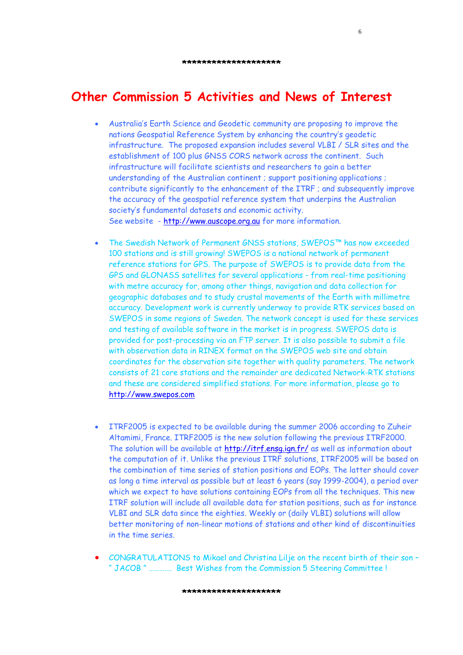$\sim$  6

### **Other Commission 5 Activities and News of Interest**

- Australia's Earth Science and Geodetic community are proposing to improve the nations Geospatial Reference System by enhancing the country's geodetic infrastructure. The proposed expansion includes several VLBI / SLR sites and the establishment of 100 plus GNSS CORS network across the continent. Such infrastructure will facilitate scientists and researchers to gain a better understanding of the Australian continent ; support positioning applications ; contribute significantly to the enhancement of the ITRF ; and subsequently improve the accuracy of the geospatial reference system that underpins the Australian society's fundamental datasets and economic activity. See website - http://www.auscope.org.au for more information.
- The Swedish Network of Permanent GNSS stations, SWEPOS™ has now exceeded 100 stations and is still growing! SWEPOS is a national network of permanent reference stations for GPS. The purpose of SWEPOS is to provide data from the GPS and GLONASS satellites for several applications - from real-time positioning with metre accuracy for, among other things, navigation and data collection for geographic databases and to study crustal movements of the Earth with millimetre accuracy. Development work is currently underway to provide RTK services based on SWEPOS in some regions of Sweden. The network concept is used for these services and testing of available software in the market is in progress. SWEPOS data is provided for post-processing via an FTP server. It is also possible to submit a file with observation data in RINEX format on the SWEPOS web site and obtain coordinates for the observation site together with quality parameters. The network consists of 21 core stations and the remainder are dedicated Network-RTK stations and these are considered simplified stations. For more information, please go to http://www.swepos.com
- ITRF2005 is expected to be available during the summer 2006 according to Zuheir Altamimi, France. ITRF2005 is the new solution following the previous ITRF2000. The solution will be available at http://itrf.ensg.ign.fr/ as well as information about the computation of it. Unlike the previous ITRF solutions, ITRF2005 will be based on the combination of time series of station positions and EOPs. The latter should cover as long a time interval as possible but at least 6 years (say 1999-2004), a period over which we expect to have solutions containing EOPs from all the techniques. This new ITRF solution will include all available data for station positions, such as for instance VLBI and SLR data since the eighties. Weekly or (daily VLBI) solutions will allow better monitoring of non-linear motions of stations and other kind of discontinuities in the time series.
- CONGRATULATIONS to Mikael and Christina Lilje on the recent birth of their son " JACOB " …………. Best Wishes from the Commission 5 Steering Committee !